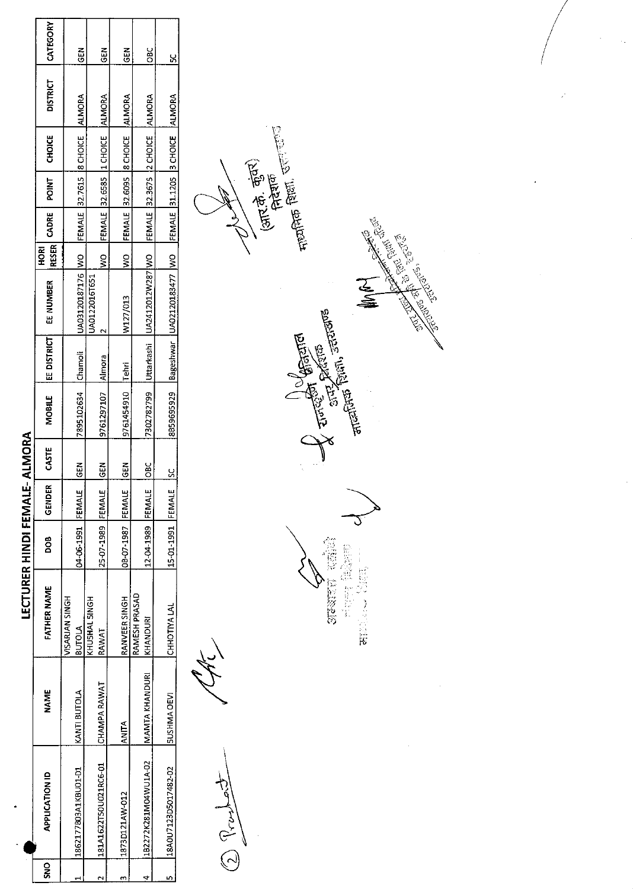|      |                       |                       |                                 | <b>LECTURER HINDI FEMALE-</b> |        | <b>ALMORA</b> |                    |             |                            |               |             |       |                                  |                 |               |
|------|-----------------------|-----------------------|---------------------------------|-------------------------------|--------|---------------|--------------------|-------------|----------------------------|---------------|-------------|-------|----------------------------------|-----------------|---------------|
| ខ្លី | <b>APPLICATION ID</b> | <b>NAME</b>           | <b>FATHER NAME</b>              | DOB<br>D                      | GENDER | CASTE         | MOBILE             | EE DISTRICT | EE NUMBER                  | <b>ROKI</b>   | RESER CADRE | POINT | CHOICE                           | <b>DISTRICT</b> | CATEGORY      |
|      | 1862177B03A1KBU01-D1  | KANTI BUTOLA          | VISARJAN SINGH<br><b>BUTOLA</b> | 04-06-1991 FEMALE             |        | <b>GEN</b>    | 7895102634 Chamoli |             | UA03120187176 WO           |               |             |       | FEMALE 32.7615 8 CHOICE ALMORA   |                 | $\frac{5}{6}$ |
|      | 181A1622T50U021RC6-01 | CHAMPA RAWAT          | KHUSHAL SINGH<br>RAWAT          | 25-07-1989 FEMALE             |        | ã             | 9761297107         | Almora      | UA0122016T651              | ş             |             |       | FEMALE 32.6585 1 CHOICE          | <b>ALMORA</b>   | ج<br>ونا      |
| ٢    | 1873D121AW-012        | ANITA                 | RANVEER SINGH                   | 08-07-1987 FEMALE             |        | <b>GEN</b>    | 9761454910 Tehri   |             | W127/013                   | $\frac{1}{2}$ |             |       | FEMALE 32.6095  8 CHOICE  ALMORA |                 | 6EN           |
|      | 182272K281MO4WU1A-02  | <b>MAMTA KHANDURI</b> | RAMESH PRASAD<br>KHANDURI       | 12-04-1989 FEMALE             |        | $rac{c}{c}$   | 7302782799         | Uttarkashi  | UA2412012W287 WO           |               |             |       | FEMALE 32.3675 2 CHOICE          | ALMORA          | OBC           |
|      | 18A0U7123D5017482-02  | <b>SUSHMA DEVI</b>    | CHHOTIYA LAL                    | 15-01-1991   FEMALE           |        | š             | 8859695929         |             | Bageshwar UA02120183477 WO |               |             |       | FEMALE 31.1205 3 CHOICE ALMORA   |                 | ្ល            |
|      |                       |                       |                                 |                               |        |               |                    |             |                            |               |             |       |                                  |                 |               |

 $\begin{picture}(20,10) \put(0,0){\line(1,0){155}} \put(15,0){\line(1,0){155}} \put(15,0){\line(1,0){155}} \put(15,0){\line(1,0){155}} \put(15,0){\line(1,0){155}} \put(15,0){\line(1,0){155}} \put(15,0){\line(1,0){155}} \put(15,0){\line(1,0){155}} \put(15,0){\line(1,0){155}} \put(15,0){\line(1,0){155}} \put(15,0){\line(1,0){155}} \$ 

 $\frac{1}{2}$   $\frac{1}{2}$   $\frac{1}{2}$   $\frac{1}{2}$   $\frac{1}{2}$   $\frac{1}{2}$   $\frac{1}{2}$   $\frac{1}{2}$   $\frac{1}{2}$   $\frac{1}{2}$   $\frac{1}{2}$   $\frac{1}{2}$   $\frac{1}{2}$   $\frac{1}{2}$   $\frac{1}{2}$   $\frac{1}{2}$   $\frac{1}{2}$   $\frac{1}{2}$   $\frac{1}{2}$   $\frac{1}{2}$   $\frac{1}{2}$   $\frac{1}{2}$  Supported the contract of the contract of MAN **Comments** of the property of the property of the second the second the second term and the second term in the second term in the second term in the second term in the second term in the second term in the second term in t  $\begin{minipage}{0.9\linewidth} \begin{tabular}{c} \multicolumn{2}{c}{\textbf{0}}\end{tabular} \end{minipage} \begin{minipage}{0.9\linewidth} \begin{tabular}{c} \multicolumn{2}{c}{\textbf{0}}\end{tabular} \end{minipage} \begin{minipage}{0.9\linewidth} \begin{tabular}{c} \multicolumn{2}{c}{\textbf{0}}\end{tabular} \end{minipage} \end{minipage} \begin{minipage}{0.9\linewidth} \begin{tabular}{c} \multicolumn{2}{c}{\textbf{0}}\end{tabular} \end{minipage} \end{minipage} \begin{minipage}{0.9$ **ENGINEER**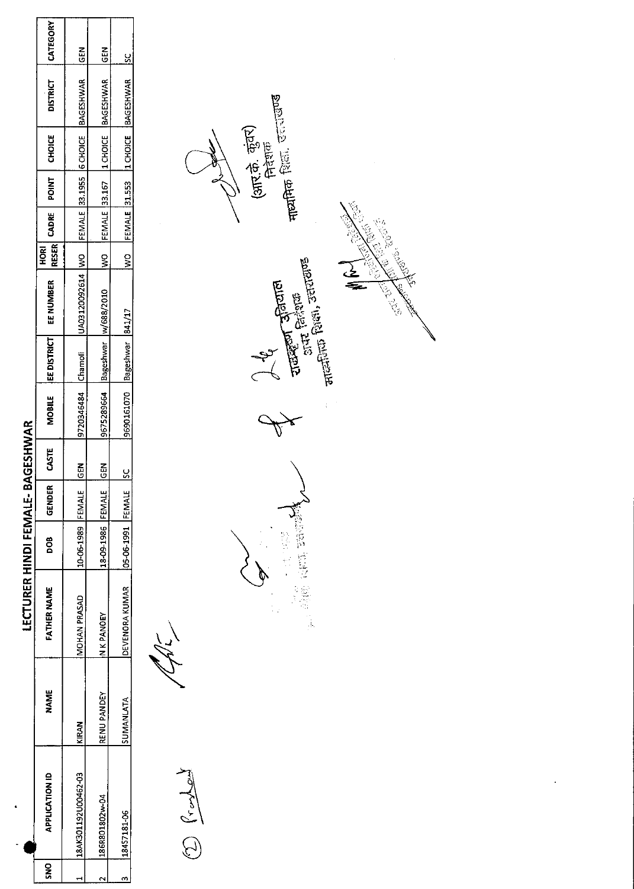|                               | CATEGORY                      | <b>IGEN</b>                                                                 | $rac{2}{5}$                            |                                           |
|-------------------------------|-------------------------------|-----------------------------------------------------------------------------|----------------------------------------|-------------------------------------------|
|                               | <b>DISTRICT</b>               |                                                                             | WO FEMALE 33.167  1 CHOICE   BAGESHWAR | WO FEMALE 31.553  1 CHOICE  BAGESHWAR  SC |
|                               | RESER CADRE POINT CHOICE      |                                                                             |                                        |                                           |
|                               |                               |                                                                             |                                        |                                           |
|                               |                               |                                                                             |                                        |                                           |
|                               | $\frac{1}{2}$                 |                                                                             |                                        |                                           |
|                               | <b>JEE DISTRICT EE NUMBER</b> | 9720346484 Chamoli  UA03120092614  WO  FEMALE  33.1955  6 CHOICE  BAGESHWAR | 9675289664 Bageshwar W/688/2010        |                                           |
|                               |                               |                                                                             |                                        |                                           |
|                               | <b>MOBILE</b>                 |                                                                             |                                        | 9690161070 Bageshwar 841/17               |
| BAGESHWAR                     | CASTE                         | <b>ABD</b>                                                                  | <b>ABD</b>                             | $\frac{6}{5}$                             |
|                               | GENDER                        |                                                                             |                                        |                                           |
|                               | 8<br>D                        | 10-06-1989 FEMALE                                                           | 18-09-1986 FEMALE                      | <b>05-06-1991 FEMALE</b>                  |
| <b>LECTURER HINDI FEMALE-</b> | <b>FATHER NAME</b>            | MOHAN PRASAD                                                                | N K PANOEY                             | DEVENORA KUMAR                            |
|                               | <b>NAME</b>                   | <b>KIRAN</b>                                                                | RENU PANDEY                            | SUMANLATA                                 |
|                               | <b>APPLICATION ID</b>         | 18AK301192U00462-03                                                         | 186R801802w-04                         | 18457181-06                               |
|                               | ខ្លី                          |                                                                             |                                        |                                           |

 $\begin{picture}(220,20) \put(0,0){\line(1,0){155}} \put(15,0){\line(1,0){155}} \put(15,0){\line(1,0){155}} \put(15,0){\line(1,0){155}} \put(15,0){\line(1,0){155}} \put(15,0){\line(1,0){155}} \put(15,0){\line(1,0){155}} \put(15,0){\line(1,0){155}} \put(15,0){\line(1,0){155}} \put(15,0){\line(1,0){155}} \put(15,0){\line(1,0){155}}$ 

<sub>नाट्यमिक</sub> शिला, उत्तराखण्ड (आर.के. कुंवर)<br>निदेशक 1 Turkey Shanton<br>Surt Galana<br><sub>Stra</sub>nton Galan<sub>a</sub>, Jeruzana **CONSOLE** Jeg Ax **Kalifornia Richard Republican** 

**LEOSTER**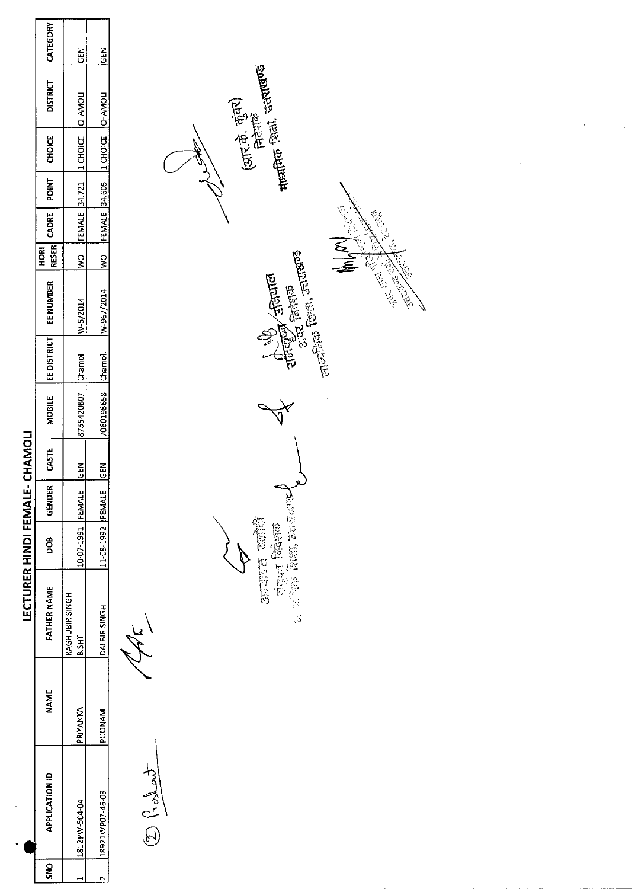|                                | CATEGORY                            | GEN                             | GEN                                        |                                                                                                                                                                                                                                                                                                                                                                     |
|--------------------------------|-------------------------------------|---------------------------------|--------------------------------------------|---------------------------------------------------------------------------------------------------------------------------------------------------------------------------------------------------------------------------------------------------------------------------------------------------------------------------------------------------------------------|
|                                | <b>DISTRICT</b>                     | CHAMOLI                         | CHAMOLI                                    | <b>The Little County</b> countries                                                                                                                                                                                                                                                                                                                                  |
|                                | <b>CHOICE</b>                       | 1 CHOICE                        | 1 CHOICE                                   | (आर.के. कुंबर)<br>सिदाक                                                                                                                                                                                                                                                                                                                                             |
|                                | POINT                               |                                 |                                            |                                                                                                                                                                                                                                                                                                                                                                     |
|                                | CADRE                               | FEMALE 34.721                   | <b>FEMALE 34.605</b>                       | 1566<br>á                                                                                                                                                                                                                                                                                                                                                           |
|                                | <b>RESER</b><br>HORI                | $\frac{1}{2}$                   | $\tilde{\mathbf{z}}$                       | <b>E</b><br><b>1976.00</b>                                                                                                                                                                                                                                                                                                                                          |
|                                | EE NUMBER                           | W-5/2014                        | W-967/2014                                 | $\frac{1}{\sqrt{2}}\left(\frac{1}{\sqrt{2}}\right)^{1/2} \left(\frac{1}{\sqrt{2}}\right)^{1/2} \left(\frac{1}{\sqrt{2}}\right)^{1/2}$<br>REACTOR<br><b>CENTER REPORT</b><br>48000<br>$\frac{d^2}{dx^2}$ faigue<br>S                                                                                                                                                 |
|                                | EE DISTRICT                         | Chamoli                         | Chamoli                                    | 墨                                                                                                                                                                                                                                                                                                                                                                   |
|                                | <b>MOBILE</b>                       | 8755420807                      | 7060198658                                 |                                                                                                                                                                                                                                                                                                                                                                     |
|                                | CASTE                               | <b>GEN</b>                      | GEN                                        |                                                                                                                                                                                                                                                                                                                                                                     |
|                                | GENDER                              | FEMALE                          |                                            |                                                                                                                                                                                                                                                                                                                                                                     |
|                                | <b>BOD</b>                          | 10-07-1991                      | 11-08-1992 FEMALE                          | <b>See the See 18</b>                                                                                                                                                                                                                                                                                                                                               |
| LECTURER HINDI FEMALE- CHAMOLI | <b>FATHER NAME</b>                  | RAGHUBIR SINGH<br><b>BISHT</b>  | <b>DALBIR SINGH</b>                        | चंत्रस्य जिदेशक<br><sub>डा. ज</sub> िले शिक्षा, जसराला <b>ड</b> न<br>بركمة                                                                                                                                                                                                                                                                                          |
|                                | <b>NAME</b>                         | PRIYANKA                        | <b>POONAM</b>                              |                                                                                                                                                                                                                                                                                                                                                                     |
| $\omega$                       | <b>APPLICATION ID</b><br><b>SNO</b> | 1812PW-504-04<br>$\blacksquare$ | 18921WP07-46-03<br>$\overline{\mathbf{r}}$ | $\begin{picture}(20,20) \put(0,0){\vector(1,0){100}} \put(15,0){\vector(1,0){100}} \put(15,0){\vector(1,0){100}} \put(15,0){\vector(1,0){100}} \put(15,0){\vector(1,0){100}} \put(15,0){\vector(1,0){100}} \put(15,0){\vector(1,0){100}} \put(15,0){\vector(1,0){100}} \put(15,0){\vector(1,0){100}} \put(15,0){\vector(1,0){100}} \put(15,0){\vector(1,0){100}} \$ |

 $\mathcal{A}^{\text{max}}_{\text{max}}$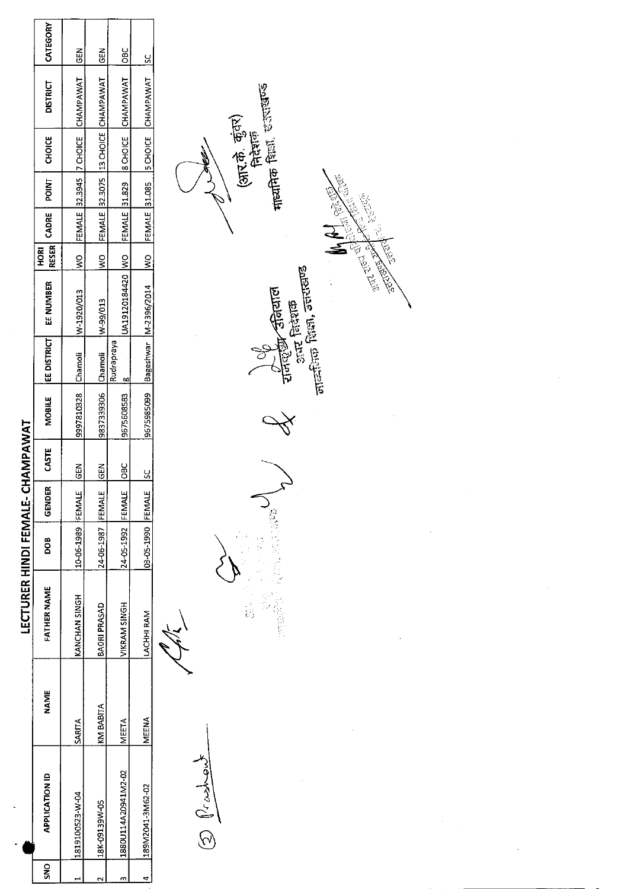|   |                       |               | LECTURER HINDI FEMALE- CHAMPAWAT |                    |        |               |                             |             |                                      |               |             |       |               |                                                       |               |  |
|---|-----------------------|---------------|----------------------------------|--------------------|--------|---------------|-----------------------------|-------------|--------------------------------------|---------------|-------------|-------|---------------|-------------------------------------------------------|---------------|--|
| š | <b>APPLICATION ID</b> | NAME          | FATHER NAME                      | oo<br>S            | GENDER | CASTE         | <b>MOBILE</b>               | EE DISTRICT | EE NUMBER                            | <b>ROKI</b>   | RESER CADRE | POINT | <b>CHOICE</b> | <b>DISTRICT</b>                                       | CATEGORY      |  |
|   | 1819100523-W-04       | <b>SARITA</b> | KANCHAN SINGH                    | 10-06-1989 FEMALE  |        | <b>IGEN</b>   | 9997810328 [Chamoli         |             | W-1920/013                           | $\frac{1}{2}$ |             |       |               | FEMALE 32.3945 7 CHOICE CHAMPAWAT                     | <b>GEN</b>    |  |
|   | 18K-09139W-05         | KM BABITA     | <b>BAORI PRASAD</b>              | 24-06-1987  FEMALE |        | $\frac{5}{5}$ | 9837339306 Chamoli W-99/013 |             |                                      |               |             |       |               | WO FEMALE 32.3075 13 CHOICE CHAMPAWAT                 | $\frac{5}{6}$ |  |
|   | 1880U114A20941M2-02   | MEETA         | <b>/IKRAM SINGH</b>              | 24-05-1992 FEMALE  |        | <b>DBC</b>    | 3675608583 8                | Rudrapraya  |                                      |               |             |       |               | UA19120184420 WO FEMALE 31.829 8 CHOICE CHAMPAWAT OBC |               |  |
|   | 189M2041-3M62-02      | MEENA         | LACHHI RAM                       | 03-05-1990 FEMALE  |        | <u>ي</u>      |                             |             | 9675985099   Bageshwar   M-2396/2014 |               |             |       |               | WO FEMALE 31.085  SCHOICE CHAMPAWAT  SC               |               |  |
|   |                       |               |                                  |                    |        |               |                             |             |                                      |               |             |       |               |                                                       |               |  |

 $\tilde{\mathcal{L}}$ 

 $\begin{picture}(22,14) \put(0,0){\line(1,0){155}} \put(15,0){\line(1,0){155}} \put(15,0){\line(1,0){155}} \put(15,0){\line(1,0){155}} \put(15,0){\line(1,0){155}} \put(15,0){\line(1,0){155}} \put(15,0){\line(1,0){155}} \put(15,0){\line(1,0){155}} \put(15,0){\line(1,0){155}} \put(15,0){\line(1,0){155}} \put(15,0){\line(1,0){155}} \$ 

**ということに、このことに、このことに、このことに、このことに、このことに、このことに、このことに、このことに、このことに、このことに、このことに、このことに、このことに、このことに、このことに、このこ** 

(आर.के. कुंवर)<br>निदेशक<br>नाध्यमिक शिद्धा, इन्हास्त्रज्ञ **Concept Strated Andreased Strategy** i.

L.<br>K

**SALE OF THE** 

F. SORDER

Ŷ,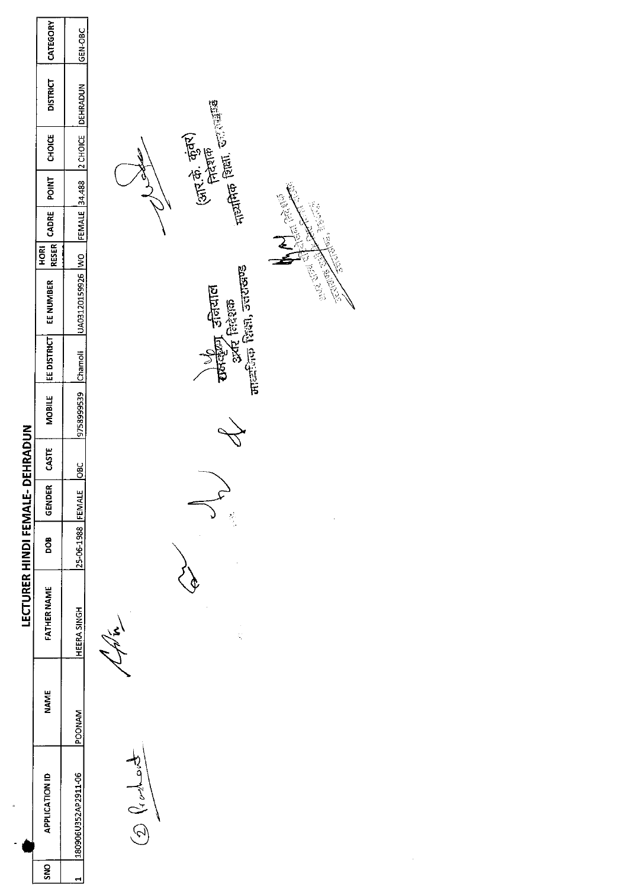|                                             | CATEGORY              | GEN-OBC             |                                                                                                                                                                                                                                                                                                                                                     |
|---------------------------------------------|-----------------------|---------------------|-----------------------------------------------------------------------------------------------------------------------------------------------------------------------------------------------------------------------------------------------------------------------------------------------------------------------------------------------------|
|                                             | <b>DISTRICT</b>       | DEHRADUN            |                                                                                                                                                                                                                                                                                                                                                     |
|                                             | CHOICE                | 2 CHOICE            | <sub>Fir</sub> anfho fam. Galans<br>(आर.के. कुंबर)<br>निरंज़क                                                                                                                                                                                                                                                                                       |
|                                             | <b>POINT</b>          |                     | <b>Cong 26.00</b>                                                                                                                                                                                                                                                                                                                                   |
|                                             | CADRE                 | FEMALE 34.488       | <b>CARL PARK SERVICE</b>                                                                                                                                                                                                                                                                                                                            |
|                                             | <b>RESER</b><br>HORI  |                     |                                                                                                                                                                                                                                                                                                                                                     |
|                                             | EE NUMBER             | UA03120159926 WO    | Article of the Control<br><b>ARTISTS OF THE STATE</b><br>मार्ट्सिक शिक्षा, उत्तराखण्ड<br>र्च्यालीला उनियाल<br>अर्द निदेशक                                                                                                                                                                                                                           |
|                                             | <b>EE DISTRICT</b>    | Chamoli             |                                                                                                                                                                                                                                                                                                                                                     |
|                                             | <b>MOBILE</b>         | 9758999539          |                                                                                                                                                                                                                                                                                                                                                     |
|                                             | CASTE                 | <b>Dac</b>          |                                                                                                                                                                                                                                                                                                                                                     |
|                                             | GENDER                |                     |                                                                                                                                                                                                                                                                                                                                                     |
|                                             | <b>BOO</b>            | 25-06-1988 FEMALE   | $\frac{d}{dt}$                                                                                                                                                                                                                                                                                                                                      |
| LECTURER HINDI FEMALE- DEHRADUN             | <b>FATHER NAME</b>    | <b>HEERA SINGH</b>  | $\mathcal{L}$<br>$\bar{z}$<br>ć,                                                                                                                                                                                                                                                                                                                    |
|                                             | <b>NAME</b>           | POONAM              |                                                                                                                                                                                                                                                                                                                                                     |
| $\hat{\phantom{a}}$<br>$\ddot{\phantom{0}}$ | <b>APPLICATION ID</b> | 180906U352AP2911-06 | $\begin{picture}(22,10) \put(0,0){\line(1,0){10}} \put(15,0){\line(1,0){10}} \put(15,0){\line(1,0){10}} \put(15,0){\line(1,0){10}} \put(15,0){\line(1,0){10}} \put(15,0){\line(1,0){10}} \put(15,0){\line(1,0){10}} \put(15,0){\line(1,0){10}} \put(15,0){\line(1,0){10}} \put(15,0){\line(1,0){10}} \put(15,0){\line(1,0){10}} \put(15,0){\line(1$ |
|                                             | SNO                   | $\equiv$            |                                                                                                                                                                                                                                                                                                                                                     |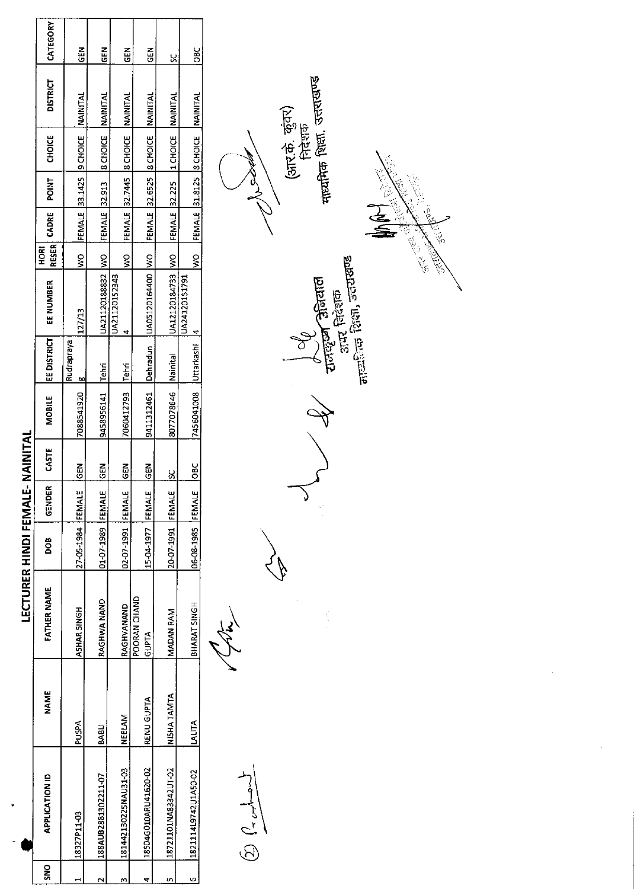|                                 | CATEGORY              | <b>GEN</b>                | GEN                 | GEN                                      | GEN                  | X                    | OBC                  |                                                                                                                                                                                                                                                                                                                                             |
|---------------------------------|-----------------------|---------------------------|---------------------|------------------------------------------|----------------------|----------------------|----------------------|---------------------------------------------------------------------------------------------------------------------------------------------------------------------------------------------------------------------------------------------------------------------------------------------------------------------------------------------|
|                                 | <b>DISTRICT</b>       | NAINITAL                  | NAINITAL            | NAINITAL                                 | <b>NAINITAL</b>      | NAINITAL             | NAINITAL             | नाव्यमिक शिक्षा, उत्तराखण्ड                                                                                                                                                                                                                                                                                                                 |
|                                 | <b>CHOICE</b>         | 9 CHOICE                  | 8 CHOICE            | 8 CHOICE                                 | <b>8 CHOICE</b>      | 1 CHOICE             | 8 CHOICE             | (आर.के. कुंवर)<br>निदेशक                                                                                                                                                                                                                                                                                                                    |
|                                 | <b>POINT</b>          | 33.1425                   | 32.913              | 32.7445                                  | 32.6525              | 32.225               | 31.8125              |                                                                                                                                                                                                                                                                                                                                             |
|                                 | CADRE                 | FEMALE                    | FEMALE              | FEMALE                                   | <b>FEMALE</b>        | FEMALE               | <b>FEMALE</b>        | 150 PM<br>$\widetilde{\mathcal{E}}$                                                                                                                                                                                                                                                                                                         |
|                                 | <b>RESER</b><br>HORI  | $\mathsf{S}^{\mathsf{O}}$ | $\frac{8}{2}$       | $\mathsf S$                              | $\frac{8}{2}$        | $\frac{1}{2}$        | $\frac{1}{2}$        | E CONTROLLER                                                                                                                                                                                                                                                                                                                                |
|                                 | EE NUMBER             | 127/13                    | UA21120188832       | UA21120152343<br>$\overline{\mathbf{r}}$ | UA05120164400        | UA12120184733        | UA24120151791<br>4   | <sub>ताट्यी</sub> तक शिक्षा, उत्तराखण्ड<br>अन्नाल<br>$\sin \theta$ निरेशक                                                                                                                                                                                                                                                                   |
|                                 | EE DISTRICT           | Rudrapraya<br>g           | Tehri               | Tehri                                    | Dehradun             | Nainital             | luttarkashi          | राजहरू                                                                                                                                                                                                                                                                                                                                      |
|                                 | <b>MOBILE</b>         | 7088541920                | 9458956141          | 7060412793                               | 9411312461           | 8077078646           | 7456041008           |                                                                                                                                                                                                                                                                                                                                             |
|                                 | CASTE                 | <b>GEN</b>                | GEN                 | <b>GEN</b>                               | GEN                  | <u>ყ</u>             | <b>DBC</b>           |                                                                                                                                                                                                                                                                                                                                             |
|                                 | GENDER                | FEMALE                    |                     |                                          |                      |                      |                      | V<br>Ŷ,                                                                                                                                                                                                                                                                                                                                     |
|                                 | <b>BOO</b>            | 27-05-1984                | 01-07-1989 FEMALE   | 02-07-1991 FEMALE                        | 15-04-1977 FEMALE    | 20-07-1991 FEMALE    | 06-08-1985 FEMALE    |                                                                                                                                                                                                                                                                                                                                             |
| LECTURER HINDI FEMALE- NAINITAL | <b>FATHER NAME</b>    | <b>ASHAR SINGH</b>        | <b>RAGHWA NAND</b>  | RAGHVANAND<br>POORAN CHAND               | <b>ATAPIO</b>        | <b>MADAN RAM</b>     | BHARAT SINGH         |                                                                                                                                                                                                                                                                                                                                             |
|                                 | <b>NAME</b>           | ARCO                      | <b>BABLI</b>        | NEELAM                                   | RENU GUPTA           | NISHA TAMTA          | <b>LALITA</b>        |                                                                                                                                                                                                                                                                                                                                             |
| ٠                               | <b>APPLICATION ID</b> | 18327P11-03               | 188AUB2881302211-07 | 181442130225NAU31-03                     | 18504G010ARU41620-02 | 18721101NA83342UT-02 | 1821114L9742U1A50-02 | $\begin{picture}(120,115) \put(0,0){\line(1,0){150}} \put(15,0){\line(1,0){150}} \put(15,0){\line(1,0){150}} \put(15,0){\line(1,0){150}} \put(15,0){\line(1,0){150}} \put(15,0){\line(1,0){150}} \put(15,0){\line(1,0){150}} \put(15,0){\line(1,0){150}} \put(15,0){\line(1,0){150}} \put(15,0){\line(1,0){150}} \put(15,0){\line(1,0){150$ |
|                                 | SNO                   | $\blacksquare$            | $\mathbf{\Omega}$   | $\mathbf{a}$                             | 4                    | $\bullet$            | $\overline{6}$       |                                                                                                                                                                                                                                                                                                                                             |

 $\mathcal{L}^{\text{max}}_{\text{max}}$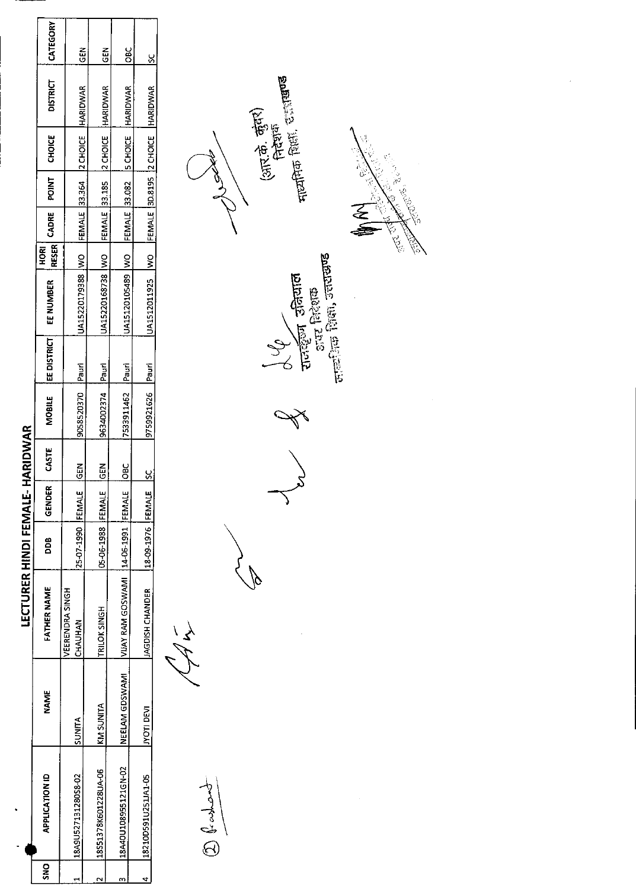|                                 | CATEGORY              | <b>NBD</b>                                          | $\frac{2}{9}$                                    | $rac{6}{5}$                                     |                                                      |
|---------------------------------|-----------------------|-----------------------------------------------------|--------------------------------------------------|-------------------------------------------------|------------------------------------------------------|
|                                 | <b>DISTRICT</b>       |                                                     |                                                  |                                                 |                                                      |
|                                 | <b>CHOICE</b>         |                                                     |                                                  |                                                 |                                                      |
|                                 | POINT                 |                                                     |                                                  |                                                 |                                                      |
|                                 | 'RESER CADRE          |                                                     |                                                  |                                                 |                                                      |
|                                 | <b>ROKI</b>           |                                                     |                                                  |                                                 |                                                      |
|                                 | EE NUMBER             | UA15220179388  WO FEMALE 33.364  2 CHOICE  HARIDWAR | JA15220168738 WO FEMALE 33.185 2 CHOICE HARIDWAR | JA15120105489 WO FEMALE 33.082 SCHOICE HARIDWAR | JA1512011925  WO  FEMALE 3D.8195  2 CHOICE  HARIDWAR |
|                                 | EE DISTRICT           |                                                     |                                                  |                                                 |                                                      |
|                                 | <b>MOBILE</b>         | 9058520370   Pauri                                  | 9634002374 Pauri                                 | 7533911462   Pauri                              | 9759921626 Pauri                                     |
|                                 | CASTE                 | <b>IGEN</b>                                         | <b>IGEN</b>                                      | <b>DBC</b>                                      |                                                      |
|                                 | GENDER                |                                                     |                                                  |                                                 |                                                      |
|                                 | 800                   | 25-07-1990   FEMALE                                 | 05-06-1988 FFEMALE                               |                                                 | 18-09-1976 FEMAL                                     |
| LECTURER HINDI FEMALE- HARIDWAR | FATHER NAME           | <b>JEERENDRA SINGH</b><br>CHAUHAN                   | TRILOK SINGH                                     | VIJAY RAM GOSWAMI   14-06-1991 FEMALE           | <b>AGDISH CHANDER</b>                                |
|                                 | NAME                  | SUNITA                                              | <b>KM SUNITA</b>                                 | NEELAM GDSWAMI                                  | <b>IVOTI DEVI</b>                                    |
|                                 | <b>APPLICATION ID</b> | 18A9U527131280S8-02                                 | 18S51378K601228UA-06                             | 18A40U108955121GN-02                            | 18210D591U251JA1-05                                  |
|                                 | <b>DR</b>             |                                                     |                                                  |                                                 |                                                      |

 $\frac{1}{2}$  $\begin{picture}(20,20) \put(0,0){\vector(1,0){10}} \put(15,0){\vector(1,0){10}} \put(15,0){\vector(1,0){10}} \put(15,0){\vector(1,0){10}} \put(15,0){\vector(1,0){10}} \put(15,0){\vector(1,0){10}} \put(15,0){\vector(1,0){10}} \put(15,0){\vector(1,0){10}} \put(15,0){\vector(1,0){10}} \put(15,0){\vector(1,0){10}} \put(15,0){\vector(1,0){10}} \put(15,0){\vector(1$ 

 $\sqrt[3]{2}$ 

**A** Surveyor Screener



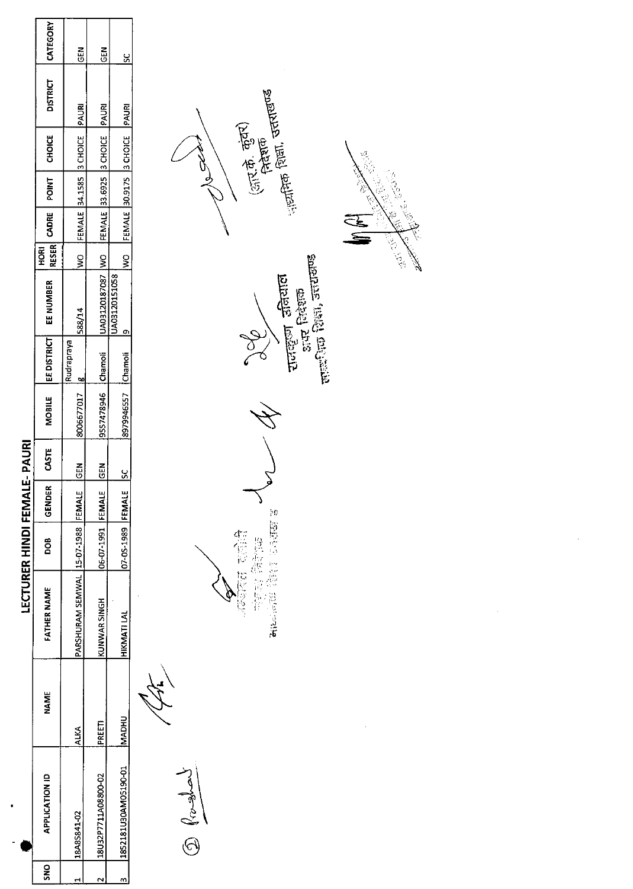|   |                       |              |                                    | <b>LECTURER HINDI FEMAI</b> |               | <b>LE-PAURI</b> |                     |             |                                                |                             |       |                                  |                 |          |
|---|-----------------------|--------------|------------------------------------|-----------------------------|---------------|-----------------|---------------------|-------------|------------------------------------------------|-----------------------------|-------|----------------------------------|-----------------|----------|
| š | <b>APPLICATION ID</b> | NAME         | <b>FATHER NAME</b>                 | 8<br>8                      | <b>GENDER</b> | <b>CASTE</b>    | <b>MOBILE</b>       | EE DISTRICT | EE NUMBER                                      | <b>RESER</b><br><b>ROKI</b> | CADRE | POINT   CHOICE                   | <b>DISTRICT</b> | CATEGORY |
|   | 18A8S841-02           | ALKA         | PARSHURAM SEMWAL 15-07-1988 FEMALE |                             |               | GEN             | 8006677017   g      | Rudrapraya  | 588/14                                         | ş                           |       | FEMALE 34.1585 3 CHOICE PAURI    |                 | るじ       |
|   | 18U32P7711A08800-02   | PREETI       | KUNWAR SINGH                       | <b>O6-07-1991 FEMALE</b>    |               | $\frac{5}{6}$   | 9557478946 Chamoli  |             | DA03120187087 WO FEMALE 33.6925 3 CHOICE PAURI |                             |       |                                  |                 | م<br>تا  |
|   | 1852181U30AM05190-01  | <b>MADHU</b> | <b>HIKMATILAL</b>                  | 07-05-1989 FEMALE           |               |                 | 8979946557 [Chamoli |             | JA03120151058                                  |                             |       | WO FEMALE 30.9175 3 CHOICE PAURI |                 |          |
|   |                       |              |                                    |                             |               |                 |                     |             |                                                |                             |       |                                  |                 |          |

 $\frac{1}{\sqrt{2\pi\left(\frac{1}{\sqrt{2}}\right)}}$ 

Joe M J 在宝 起源



्र<br>भ **BOCKET** रातसूना उत्तियाल<br>अपर सिरेशक<br>सम्बंधि शिक्षा, उत्तराखण्ड

í.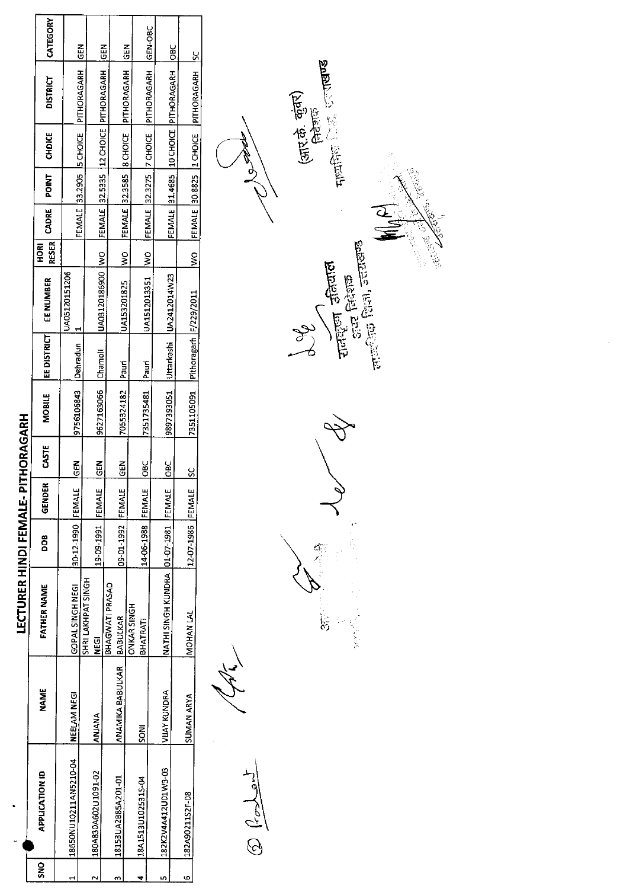|      |                       |                                  | <b>LECTURER HINDI FEMALE- PIT</b>        |                    |        | HORAGARH      |                                       |                    |                           |               |             |              |                         |                                              |             |
|------|-----------------------|----------------------------------|------------------------------------------|--------------------|--------|---------------|---------------------------------------|--------------------|---------------------------|---------------|-------------|--------------|-------------------------|----------------------------------------------|-------------|
| ន្ត្ | <b>APPLICATION ID</b> | NAME                             | <b>FATHER NAME</b>                       | <b>800</b>         | GENDER | <b>CASTE</b>  | MOBILE                                | <b>EE DISTRICT</b> | EE NUMBER                 | <b>ROH</b>    | RESER CADRE | <b>ENICE</b> | <b>CHDICE</b>           | <b>DISTRICT</b>                              | CATEGORY    |
|      | 18650NU10211AN5210-04 | <b>NEELAM NEGI</b>               | GOPAL SINGHNEGI                          | 30-12-1990 FEMALE  |        | <b>SUP</b>    | 9756106843                            | Dehradun           | UA05120151206             |               |             |              |                         | FEMALE 33.2905 IS CHOICE   PITHORAGARH       |             |
|      |                       |                                  | <b>SHRI LAKHPAT SINGH</b>                |                    |        |               |                                       |                    |                           |               |             |              |                         |                                              | <b>GEN</b>  |
|      | 180A830A602U1091-02   | ANANA                            | <b>NEGI</b>                              | 19-09-1991 FEMALE  |        | $\frac{5}{6}$ | 9627163066 Chamoli                    |                    | UA03120186900  WO         |               |             |              |                         | FEMALE 32.5335 112 CHOICE PITHORAGARH        |             |
|      |                       |                                  | BHAGWATI PRASAD                          |                    |        |               |                                       |                    |                           |               |             |              |                         |                                              | <b>IGEN</b> |
| m    | 18153UA2B85A201-01    | ANAMIKA BABULKAR <b>BABULKAR</b> |                                          | 09-01-1992         | FEMALE | GEN           | 7055324182 Pauri                      |                    | UA153201825               | $\frac{8}{2}$ |             |              | FEMALE 32.3585 8 CHOICE |                                              |             |
|      |                       |                                  | <b>ONKAR SINGH</b>                       |                    |        |               |                                       |                    |                           |               |             |              |                         | PITHORAGARH                                  | <b>IGEN</b> |
|      | 18A1513U102531S-04    | <b>INOS</b>                      | BHATRATI                                 | 14-06-1988  FEMALE |        | <b>DBC</b>    | 7351735481                            | Pauri              | UA1512013351  WO          |               |             |              |                         | FEMALE 32.3275 77 CHOICE PITHORAGARH GEN-OBC |             |
|      |                       |                                  |                                          |                    |        |               |                                       |                    |                           |               |             |              |                         |                                              |             |
|      | 182K2V4A412U01W3-03   | <b>VIJAY KUNDRA</b>              | NATHI SINGH KUNDRA   01-07-1981   FEMALE |                    |        | <b>BC</b>     | 9897393051                            |                    | Uttarkashi   UA2412014W23 |               |             |              |                         | FEMALE 31.4685  10 CHOICE  PITHORAGARH       | $rac{6}{5}$ |
|      |                       |                                  |                                          |                    |        |               |                                       |                    |                           |               |             |              |                         |                                              |             |
| ١O   | 182A90211S2F-08       | <b>SUMAN ARYA</b>                | <b>MOHAN LAL</b>                         | 12-07-1986  FEMALE |        | <u>s</u>      | 7351105091   Pithoragarh   F/229/2011 |                    |                           | <u>ş</u>      |             |              |                         | JFEMALE 30.8825  1 CHOICE   PITHORAGARH   SC |             |
|      |                       |                                  |                                          |                    |        |               |                                       |                    |                           |               |             |              |                         |                                              |             |

 $\frac{1}{2} \sum_{i=1}^{n} \sum_{j=1}^{n} \binom{n}{i}$ 

 $\bigotimes$ ्<br>अ 

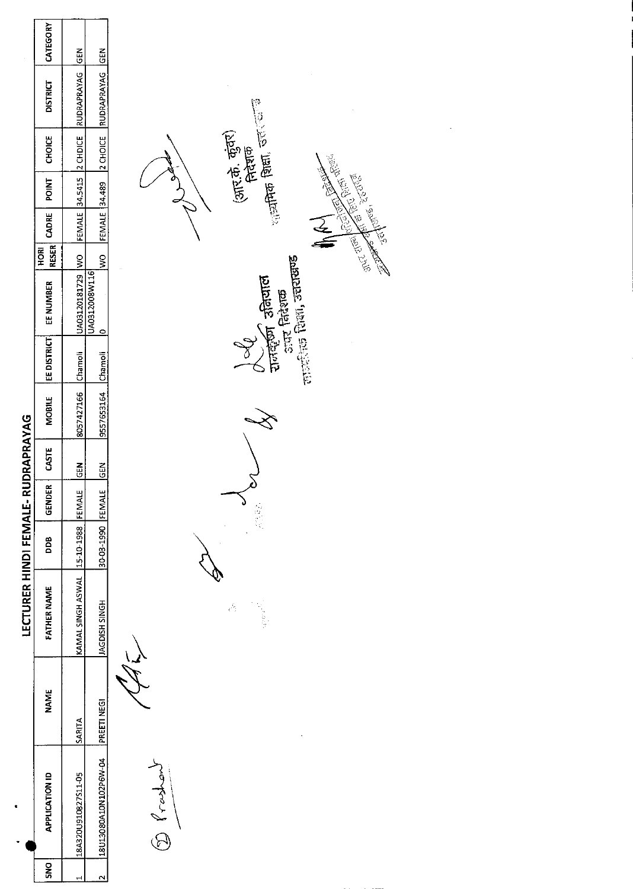|                                    | CATEGORY              | $rac{2}{5}$         | <b>GEN</b>               |                                                                                                 |
|------------------------------------|-----------------------|---------------------|--------------------------|-------------------------------------------------------------------------------------------------|
|                                    | <b>DISTRICT</b>       | RUDRAPRAYAG         | <b>RUDRAPRAYAG</b>       |                                                                                                 |
|                                    | CHOICE                | 2 CHDICE            | 2 CHOICE                 | $\frac{1}{2}$ and $\frac{1}{2}$ and $\frac{1}{2}$ and $\frac{1}{2}$<br>(आर.के. कुंवर)<br>निदेशक |
|                                    | <b>POINT</b>          |                     |                          | <b>AND BUCKER</b>                                                                               |
|                                    | CADRE                 | FEMALE 34.5415      | <b>FEMALE</b> 34.489     | Jakob School                                                                                    |
|                                    | <b>RESER</b><br>HORI  |                     | $\frac{1}{2}$            | N. 1979<br><b>POSTER</b><br>R.                                                                  |
|                                    | EE NUMBER             | UA03120181729 WO    | UA0312008W116<br>$\circ$ | लाव्यांक शिला, उत्तराखण्ड<br>रालंडीजी उतियाल<br>उपर निदेशक                                      |
|                                    | EE DISTRICT           | Chamoli             | Chamoli                  |                                                                                                 |
|                                    | MOBILE                | 8057427166          | 9557653164               |                                                                                                 |
|                                    | CASTE                 | <b>GEN</b>          | <b>GEN</b>               |                                                                                                 |
|                                    | <b>GENDER</b>         | FEMALE              |                          | 3.3%                                                                                            |
|                                    | DDB                   | 15-10-1988          | 30-03-1990 FEMALE        |                                                                                                 |
| LECTURER HINDI FEMALE- RUDRAPRAYAG | FATHER NAME           | KAMAL SINGH ASWAL   | <b>HOMIS HSIODAL</b>     | $\hat{\mathcal{C}}$                                                                             |
|                                    | <b>NAME</b>           | SARITA              | <b>PREETI NEGI</b>       |                                                                                                 |
| ¢<br>$\bullet$                     | <b>APPLICATION ID</b> | 18A320U910827S11-05 | 18U13080A10N102P6W-04    | $\circled{1}$                                                                                   |
|                                    | <b>SNO</b>            | $\overline{ }$      | $\sim$                   |                                                                                                 |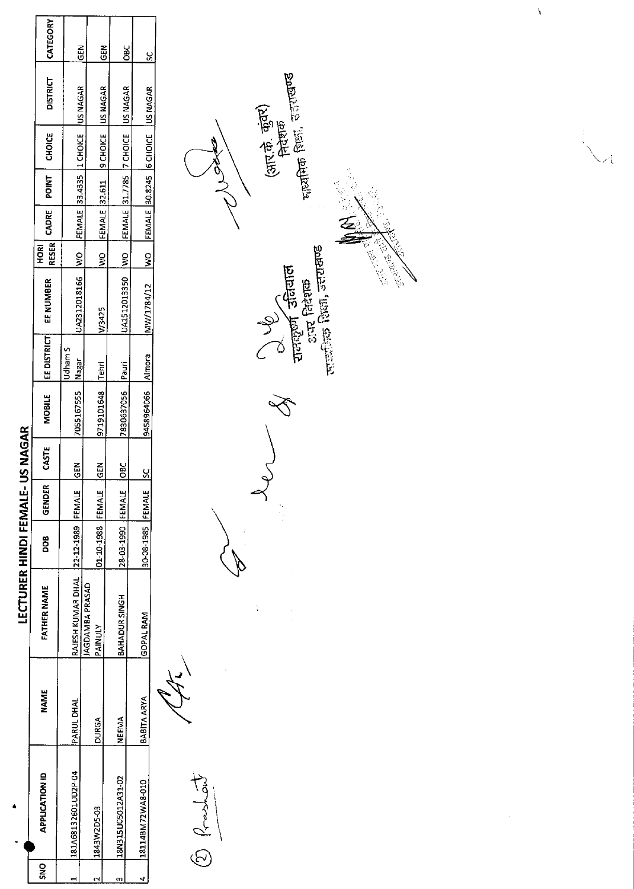|      |                       |                    | <b>LECTURER HINDI FEMALI</b>            |                  |        | <b>E-USNAGAR</b> |                    |             |                                                   |           |             |       |        |                                       |             |
|------|-----------------------|--------------------|-----------------------------------------|------------------|--------|------------------|--------------------|-------------|---------------------------------------------------|-----------|-------------|-------|--------|---------------------------------------|-------------|
| ខ្លួ | <b>APPLICATION ID</b> | <b>NAME</b>        | <b>FATHER NAME</b>                      | <b>DOB</b>       | GENDER | CASTE            | <b>MOBILE</b>      | EE DISTRICT | EE NUMBER                                         | <u>ទី</u> | RESER CADRE | POINT | CHOICE | <b>DISTRICT</b>                       | CATEGORY    |
|      | 181A68132601UD2P-04   | PARUL DHAL         | RAJESH KUMAR DHAL   22-12-1989   FEMALF |                  |        | $rac{2}{5}$      | 7055167555   Nagar | Jdham S     | UA2312018166 WO FEMALE 33.4335 11 CHOICE US NAGAR |           |             |       |        |                                       | <b>IGEN</b> |
|      | 1843W2D5-03           | <b>DURGA</b>       | <b>AGDAMBA PRASAD</b><br>PAINULY        | 01-10-1988 FEMAL |        | <b>M3D</b>       | 9719101648   Tehri |             |                                                   |           |             |       |        |                                       |             |
|      |                       |                    |                                         |                  |        |                  |                    |             | W3425                                             | ş         |             |       |        | FEMALE 32.611 9 CHOICE US NAGAR       | $rac{5}{5}$ |
|      | 128N315U05012A31-02   | NEFMA              | BAHADUR SINGH                           | 28-03-1990 FEMAL |        | 33<br>O          | 7830637056 Pauri   |             | UA1512013350  WO  FEMALE 31.7785  7 CHOICE        |           |             |       |        | US NAGAR                              | <b>DBC</b>  |
|      | 18114BM72WA8-010      | <b>BABITA ARYA</b> | IGOPAL RAM                              | 30-08-1985 FEMAL |        | <u>ន</u>         | 9458964066 Almora  |             | MW/1784/12                                        |           |             |       |        | WO FEMALE 30.8245 6 CHOICE   US NAGAR | <u>s</u>    |
|      |                       |                    |                                         |                  |        |                  |                    |             |                                                   |           |             |       |        |                                       |             |

 $\begin{picture}(20,20) \put(0,0){\vector(1,0){10}} \put(15,0){\vector(1,0){10}} \put(15,0){\vector(1,0){10}} \put(15,0){\vector(1,0){10}} \put(15,0){\vector(1,0){10}} \put(15,0){\vector(1,0){10}} \put(15,0){\vector(1,0){10}} \put(15,0){\vector(1,0){10}} \put(15,0){\vector(1,0){10}} \put(15,0){\vector(1,0){10}} \put(15,0){\vector(1,0){10}} \put(15,0){\vector(1$ 

<sub>पा</sub>ह्यमिक शिक्षा, उत्तराखण्ड (आर.के. कुंवर)<br>निदेशक g)<br>R **A** Cuerta State

 $\frac{1}{3}$ 



 $\lambda$